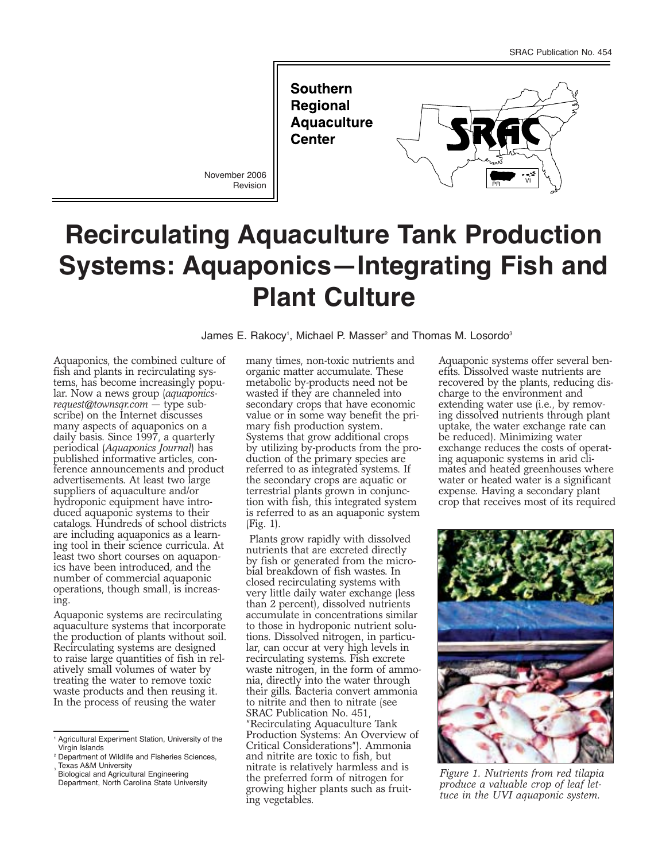**Southern Regional Aquaculture Center** 

November 2006 Revision



# **Recirculating Aquaculture Tank Production Systems: Aquaponics—Integrating Fish and Plant Culture**

James E. Rakocy<sup>1</sup>, Michael P. Masser<sup>2</sup> and Thomas M. Losordo<sup>3</sup>

Aquaponics, the combined culture of fish and plants in recirculating systems, has become increasingly popular. Now a news group (*aquaponicsrequest@townsqr.com* — type subscribe) on the Internet discusses many aspects of aquaponics on a daily basis. Since 1997, a quarterly periodical (*Aquaponics Journal*) has published informative articles, conference announcements and product advertisements. At least two large suppliers of aquaculture and/or hydroponic equipment have introduced aquaponic systems to their catalogs. Hundreds of school districts are including aquaponics as a learning tool in their science curricula. At least two short courses on aquaponics have been introduced, and the number of commercial aquaponic operations, though small, is increasing.

Aquaponic systems are recirculating aquaculture systems that incorporate the production of plants without soil. Recirculating systems are designed to raise large quantities of fish in relatively small volumes of water by treating the water to remove toxic waste products and then reusing it. In the process of reusing the water

Biological and Agricultural Engineering Department, North Carolina State University

many times, non-toxic nutrients and organic matter accumulate. These metabolic by-products need not be wasted if they are channeled into secondary crops that have economic value or in some way benefit the primary fish production system. Systems that grow additional crops by utilizing by-products from the production of the primary species are referred to as integrated systems. If the secondary crops are aquatic or terrestrial plants grown in conjunction with fish, this integrated system is referred to as an aquaponic system (Fig. 1).

Plants grow rapidly with dissolved nutrients that are excreted directly by fish or generated from the microbial breakdown of fish wastes. In closed recirculating systems with very little daily water exchange (less than 2 percent), dissolved nutrients accumulate in concentrations similar to those in hydroponic nutrient solutions. Dissolved nitrogen, in particular, can occur at very high levels in recirculating systems. Fish excrete waste nitrogen, in the form of ammonia, directly into the water through their gills. Bacteria convert ammonia to nitrite and then to nitrate (see SRAC Publication No. 451, "Recirculating Aquaculture Tank Production Systems: An Overview of Critical Considerations"). Ammonia and nitrite are toxic to fish, but nitrate is relatively harmless and is the preferred form of nitrogen for growing higher plants such as fruiting vegetables.

Aquaponic systems offer several benefits. Dissolved waste nutrients are recovered by the plants, reducing discharge to the environment and extending water use (i.e., by removing dissolved nutrients through plant uptake, the water exchange rate can be reduced). Minimizing water exchange reduces the costs of operating aquaponic systems in arid climates and heated greenhouses where water or heated water is a significant expense. Having a secondary plant crop that receives most of its required



*Figure 1. Nutrients from red tilapia produce a valuable crop of leaf lettuce in the UVI aquaponic system.*

<sup>1</sup> Agricultural Experiment Station, University of the Virgin Islands

<sup>2</sup> Department of Wildlife and Fisheries Sciences, Texas A&M University <sup>3</sup>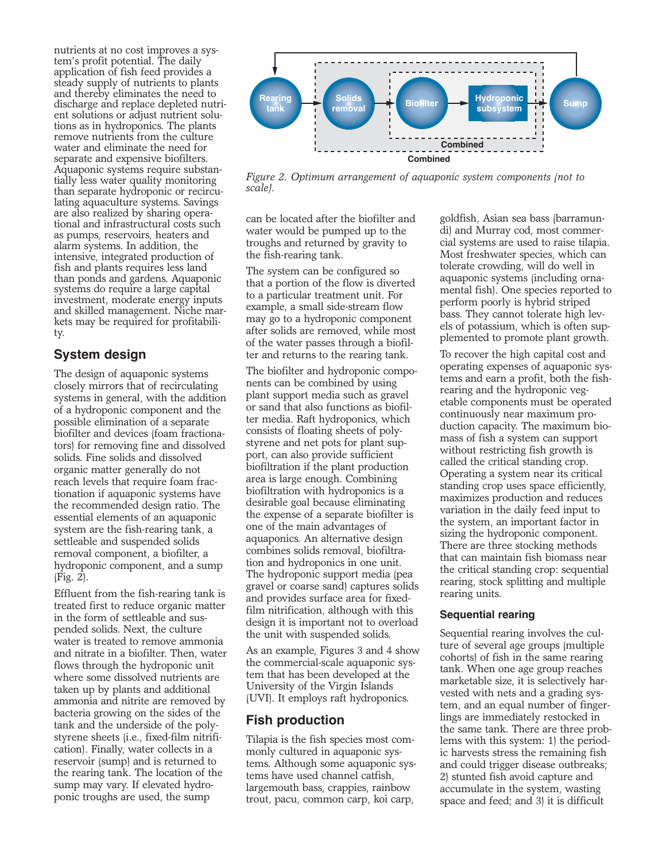nutrients at no cost improves a system's profit potential. The daily application of fish feed provides a steady supply of nutrients to plants and thereby eliminates the need to discharge and replace depleted nutrient solutions or adjust nutrient solutions as in hydroponics. The plants remove nutrients from the culture water and eliminate the need for separate and expensive biofilters. Aquaponic systems require substantially less water quality monitoring than separate hydroponic or recirculating aquaculture systems. Savings are also realized by sharing operational and infrastructural costs such as pumps, reservoirs, heaters and alarm systems. In addition, the intensive, integrated production of fish and plants requires less land than ponds and gardens. Aquaponic systems do require a large capital investment, moderate energy inputs and skilled management. Niche markets may be required for profitability.

# **System design**

The design of aquaponic systems closely mirrors that of recirculating systems in general, with the addition of a hydroponic component and the possible elimination of a separate biofilter and devices (foam fractionators) for removing fine and dissolved solids. Fine solids and dissolved organic matter generally do not reach levels that require foam fractionation if aquaponic systems have the recommended design ratio. The essential elements of an aquaponic system are the fish-rearing tank, a settleable and suspended solids removal component, a biofilter, a hydroponic component, and a sump (Fig. 2).

Effluent from the fish-rearing tank is treated first to reduce organic matter in the form of settleable and suspended solids. Next, the culture water is treated to remove ammonia and nitrate in a biofilter. Then, water flows through the hydroponic unit where some dissolved nutrients are taken up by plants and additional ammonia and nitrite are removed by bacteria growing on the sides of the tank and the underside of the polystyrene sheets (i.e., fixed-film nitrification). Finally, water collects in a reservoir (sump) and is returned to the rearing tank. The location of the sump may vary. If elevated hydroponic troughs are used, the sump



*Figure 2. Optimum arrangement of aquaponic system components (not to scale).*

can be located after the biofilter and water would be pumped up to the troughs and returned by gravity to the fish-rearing tank.

The system can be configured so that a portion of the flow is diverted to a particular treatment unit. For example, a small side-stream flow may go to a hydroponic component after solids are removed, while most of the water passes through a biofilter and returns to the rearing tank.

The biofilter and hydroponic components can be combined by using plant support media such as gravel or sand that also functions as biofilter media. Raft hydroponics, which consists of floating sheets of polystyrene and net pots for plant support, can also provide sufficient biofiltration if the plant production area is large enough. Combining biofiltration with hydroponics is a desirable goal because eliminating the expense of a separate biofilter is one of the main advantages of aquaponics. An alternative design combines solids removal, biofiltration and hydroponics in one unit. The hydroponic support media (pea gravel or coarse sand) captures solids and provides surface area for fixedfilm nitrification, although with this design it is important not to overload the unit with suspended solids.

As an example, Figures 3 and 4 show the commercial-scale aquaponic system that has been developed at the University of the Virgin Islands (UVI). It employs raft hydroponics.

## **Fish production**

Tilapia is the fish species most commonly cultured in aquaponic systems. Although some aquaponic systems have used channel catfish, largemouth bass, crappies, rainbow trout, pacu, common carp, koi carp,

goldfish, Asian sea bass (barramundi) and Murray cod, most commercial systems are used to raise tilapia. Most freshwater species, which can tolerate crowding, will do well in aquaponic systems (including ornamental fish). One species reported to perform poorly is hybrid striped bass. They cannot tolerate high levels of potassium, which is often supplemented to promote plant growth.

To recover the high capital cost and operating expenses of aquaponic systems and earn a profit, both the fishrearing and the hydroponic vegetable components must be operated continuously near maximum production capacity. The maximum biomass of fish a system can support without restricting fish growth is called the critical standing crop. Operating a system near its critical standing crop uses space efficiently, maximizes production and reduces variation in the daily feed input to the system, an important factor in sizing the hydroponic component. There are three stocking methods that can maintain fish biomass near the critical standing crop: sequential rearing, stock splitting and multiple rearing units.

#### **Sequential rearing**

Sequential rearing involves the culture of several age groups (multiple cohorts) of fish in the same rearing tank. When one age group reaches marketable size, it is selectively harvested with nets and a grading system, and an equal number of fingerlings are immediately restocked in the same tank. There are three problems with this system: 1) the periodic harvests stress the remaining fish and could trigger disease outbreaks; 2) stunted fish avoid capture and accumulate in the system, wasting space and feed; and 3) it is difficult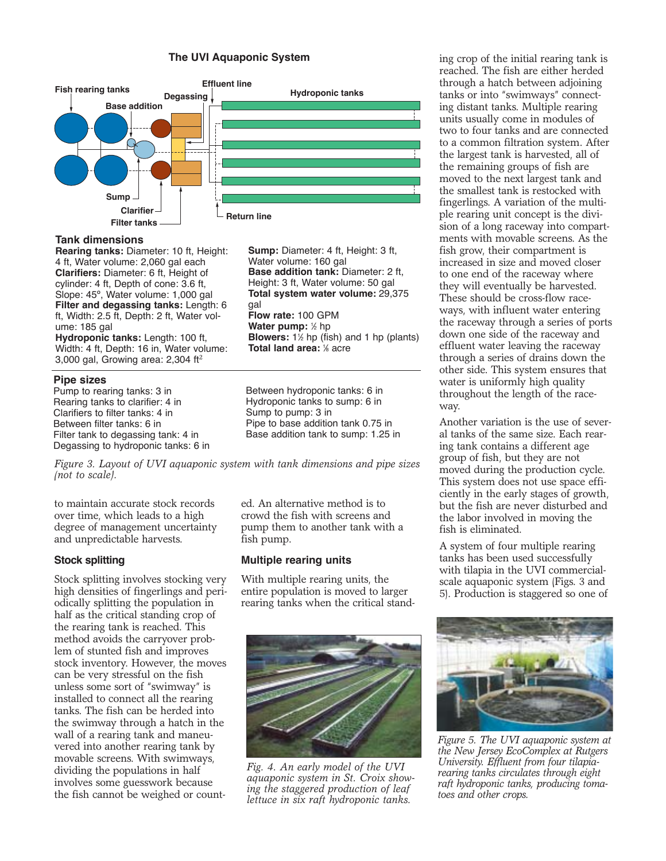#### **The UVI Aquaponic System**



#### **Tank dimensions**

**Rearing tanks:** Diameter: 10 ft, Height: 4 ft, Water volume: 2,060 gal each **Clarifiers:** Diameter: 6 ft, Height of cylinder: 4 ft, Depth of cone: 3.6 ft, Slope: 45º, Water volume: 1,000 gal **Filter and degassing tanks:** Length: 6 ft, Width: 2.5 ft, Depth: 2 ft, Water volume: 185 gal

**Hydroponic tanks:** Length: 100 ft, Width: 4 ft, Depth: 16 in, Water volume: 3,000 gal, Growing area: 2,304  $ft<sup>2</sup>$ 

#### **Pipe sizes**

Pump to rearing tanks: 3 in Rearing tanks to clarifier: 4 in Clarifiers to filter tanks: 4 in Between filter tanks: 6 in Filter tank to degassing tank: 4 in Degassing to hydroponic tanks: 6 in **Sump:** Diameter: 4 ft, Height: 3 ft, Water volume: 160 gal **Base addition tank:** Diameter: 2 ft, Height: 3 ft, Water volume: 50 gal **Total system water volume:** 29,375 gal **Flow rate:** 100 GPM **Water pump:** ½ hp **Blowers:**  $1\frac{1}{2}$  hp (fish) and 1 hp (plants) **Total land area:** <sup>1</sup> ⁄8 acre

Between hydroponic tanks: 6 in Hydroponic tanks to sump: 6 in Sump to pump: 3 in Pipe to base addition tank 0.75 in Base addition tank to sump: 1.25 in

*Figure 3. Layout of UVI aquaponic system with tank dimensions and pipe sizes (not to scale).*

to maintain accurate stock records over time, which leads to a high degree of management uncertainty and unpredictable harvests.

#### **Stock splitting**

Stock splitting involves stocking very high densities of fingerlings and periodically splitting the population in half as the critical standing crop of the rearing tank is reached. This method avoids the carryover problem of stunted fish and improves stock inventory. However, the moves can be very stressful on the fish unless some sort of "swimway" is installed to connect all the rearing tanks. The fish can be herded into the swimway through a hatch in the wall of a rearing tank and maneuvered into another rearing tank by movable screens. With swimways, dividing the populations in half involves some guesswork because the fish cannot be weighed or count-

ed. An alternative method is to crowd the fish with screens and pump them to another tank with a fish pump.

#### **Multiple rearing units**

With multiple rearing units, the entire population is moved to larger rearing tanks when the critical stand-



*Fig. 4. An early model of the UVI aquaponic system in St. Croix showing the staggered production of leaf lettuce in six raft hydroponic tanks.*

ing crop of the initial rearing tank is reached. The fish are either herded through a hatch between adjoining tanks or into "swimways" connecting distant tanks. Multiple rearing units usually come in modules of two to four tanks and are connected to a common filtration system. After the largest tank is harvested, all of the remaining groups of fish are moved to the next largest tank and the smallest tank is restocked with fingerlings. A variation of the multiple rearing unit concept is the division of a long raceway into compartments with movable screens. As the fish grow, their compartment is increased in size and moved closer to one end of the raceway where they will eventually be harvested. These should be cross-flow raceways, with influent water entering the raceway through a series of ports down one side of the raceway and effluent water leaving the raceway through a series of drains down the other side. This system ensures that water is uniformly high quality throughout the length of the raceway.

Another variation is the use of several tanks of the same size. Each rearing tank contains a different age group of fish, but they are not moved during the production cycle. This system does not use space efficiently in the early stages of growth, but the fish are never disturbed and the labor involved in moving the fish is eliminated.

A system of four multiple rearing tanks has been used successfully with tilapia in the UVI commercialscale aquaponic system (Figs. 3 and 5). Production is staggered so one of



*Figure 5. The UVI aquaponic system at the New Jersey EcoComplex at Rutgers University. Effluent from four tilapiarearing tanks circulates through eight raft hydroponic tanks, producing tomatoes and other crops.*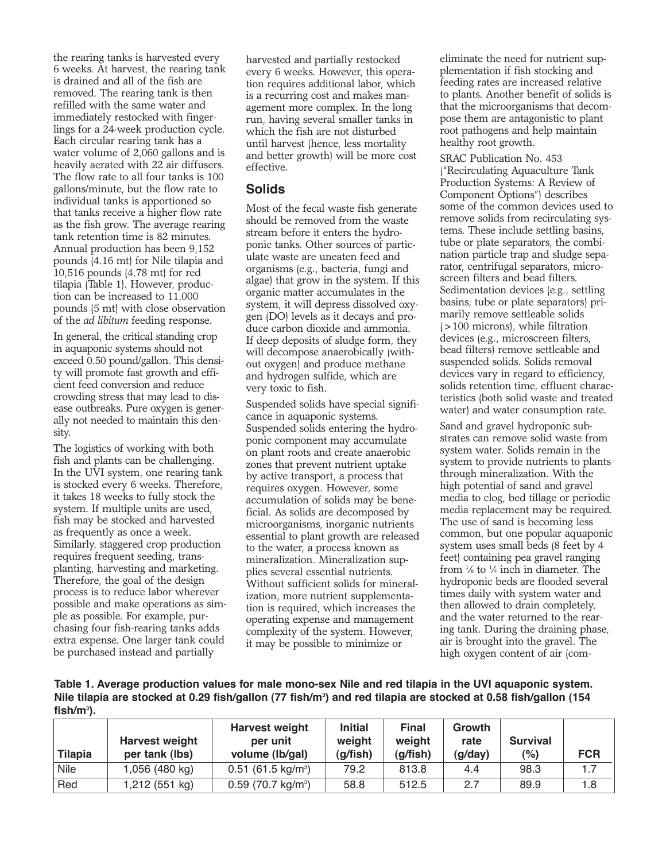the rearing tanks is harvested every 6 weeks. At harvest, the rearing tank is drained and all of the fish are removed. The rearing tank is then refilled with the same water and immediately restocked with fingerlings for a 24-week production cycle. Each circular rearing tank has a water volume of 2,060 gallons and is heavily aerated with 22 air diffusers. The flow rate to all four tanks is 100 gallons/minute, but the flow rate to individual tanks is apportioned so that tanks receive a higher flow rate as the fish grow. The average rearing tank retention time is 82 minutes. Annual production has been 9,152 pounds (4.16 mt) for Nile tilapia and 10,516 pounds (4.78 mt) for red tilapia (Table 1). However, production can be increased to 11,000 pounds (5 mt) with close observation of the *ad libitum* feeding response.

In general, the critical standing crop in aquaponic systems should not exceed 0.50 pound/gallon. This density will promote fast growth and efficient feed conversion and reduce crowding stress that may lead to disease outbreaks. Pure oxygen is generally not needed to maintain this density.

The logistics of working with both fish and plants can be challenging. In the UVI system, one rearing tank is stocked every 6 weeks. Therefore, it takes 18 weeks to fully stock the system. If multiple units are used, fish may be stocked and harvested as frequently as once a week. Similarly, staggered crop production requires frequent seeding, transplanting, harvesting and marketing. Therefore, the goal of the design process is to reduce labor wherever possible and make operations as simple as possible. For example, purchasing four fish-rearing tanks adds extra expense. One larger tank could be purchased instead and partially

harvested and partially restocked every 6 weeks. However, this operation requires additional labor, which is a recurring cost and makes management more complex. In the long run, having several smaller tanks in which the fish are not disturbed until harvest (hence, less mortality and better growth) will be more cost effective.

#### **Solids**

Most of the fecal waste fish generate should be removed from the waste stream before it enters the hydroponic tanks. Other sources of particulate waste are uneaten feed and organisms (e.g., bacteria, fungi and algae) that grow in the system. If this organic matter accumulates in the system, it will depress dissolved oxygen (DO) levels as it decays and produce carbon dioxide and ammonia. If deep deposits of sludge form, they will decompose anaerobically (without oxygen) and produce methane and hydrogen sulfide, which are very toxic to fish.

Suspended solids have special significance in aquaponic systems. Suspended solids entering the hydroponic component may accumulate on plant roots and create anaerobic zones that prevent nutrient uptake by active transport, a process that requires oxygen. However, some accumulation of solids may be beneficial. As solids are decomposed by microorganisms, inorganic nutrients essential to plant growth are released to the water, a process known as mineralization. Mineralization supplies several essential nutrients. Without sufficient solids for mineralization, more nutrient supplementation is required, which increases the operating expense and management complexity of the system. However, it may be possible to minimize or

eliminate the need for nutrient supplementation if fish stocking and feeding rates are increased relative to plants. Another benefit of solids is that the microorganisms that decompose them are antagonistic to plant root pathogens and help maintain healthy root growth.

SRAC Publication No. 453 ("Recirculating Aquaculture Tank Production Systems: A Review of Component Options") describes some of the common devices used to remove solids from recirculating systems. These include settling basins, tube or plate separators, the combination particle trap and sludge separator, centrifugal separators, microscreen filters and bead filters. Sedimentation devices (e.g., settling basins, tube or plate separators) primarily remove settleable solids (>100 microns), while filtration devices (e.g., microscreen filters, bead filters) remove settleable and suspended solids. Solids removal devices vary in regard to efficiency, solids retention time, effluent characteristics (both solid waste and treated water) and water consumption rate.

Sand and gravel hydroponic substrates can remove solid waste from system water. Solids remain in the system to provide nutrients to plants through mineralization. With the high potential of sand and gravel media to clog, bed tillage or periodic media replacement may be required. The use of sand is becoming less common, but one popular aquaponic system uses small beds (8 feet by 4 feet) containing pea gravel ranging from  $\frac{1}{8}$  to  $\frac{1}{4}$  inch in diameter. The hydroponic beds are flooded several times daily with system water and then allowed to drain completely, and the water returned to the rearing tank. During the draining phase, air is brought into the gravel. The high oxygen content of air (com-

**Table 1. Average production values for male mono-sex Nile and red tilapia in the UVI aquaponic system. Nile tilapia are stocked at 0.29 fish/gallon (77 fish/m3 ) and red tilapia are stocked at 0.58 fish/gallon (154 fish/m3 ).**

| <b>Tilapia</b> | <b>Harvest weight</b><br>per tank (lbs) | <b>Harvest weight</b><br>per unit<br>volume (lb/gal) | <b>Initial</b><br>weight<br>(g/fish) | <b>Final</b><br>weight<br>(g/fish) | Growth<br>rate<br>(g/day) | <b>Survival</b><br>(%) | <b>FCR</b> |
|----------------|-----------------------------------------|------------------------------------------------------|--------------------------------------|------------------------------------|---------------------------|------------------------|------------|
| <b>Nile</b>    | 1,056 (480 kg)                          | $0.51$ (61.5 kg/m <sup>3</sup> )                     | 79.2                                 | 813.8                              | 4.4                       | 98.3                   | 1.7        |
| Red            | 1,212 (551 kg)                          | $0.59$ (70.7 kg/m <sup>3</sup> )                     | 58.8                                 | 512.5                              | 2.7                       | 89.9                   | 1.8        |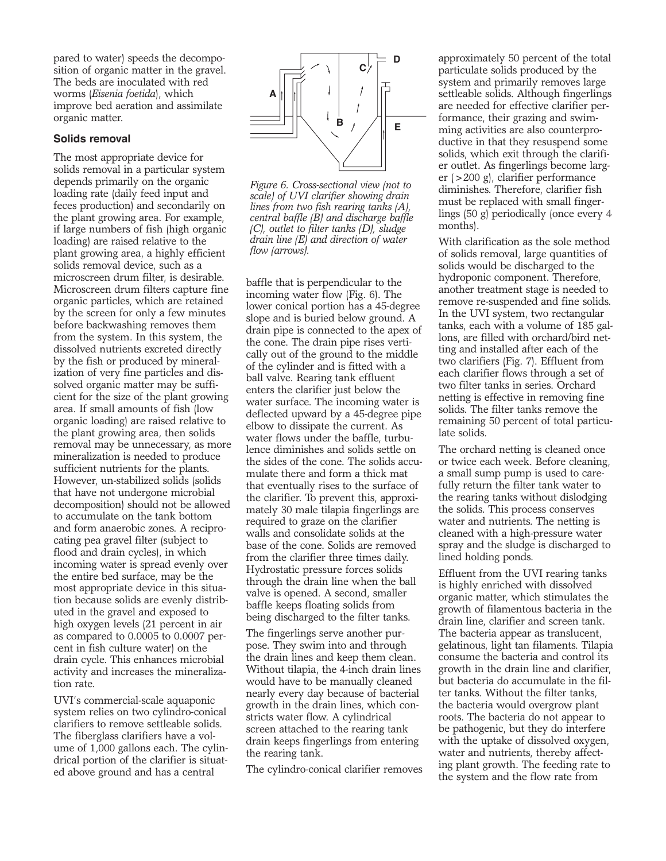pared to water) speeds the decomposition of organic matter in the gravel. The beds are inoculated with red worms (*Eisenia foetida*), which improve bed aeration and assimilate organic matter.

#### **Solids removal**

The most appropriate device for solids removal in a particular system depends primarily on the organic loading rate (daily feed input and feces production) and secondarily on the plant growing area. For example, if large numbers of fish (high organic loading) are raised relative to the plant growing area, a highly efficient solids removal device, such as a microscreen drum filter, is desirable. Microscreen drum filters capture fine organic particles, which are retained by the screen for only a few minutes before backwashing removes them from the system. In this system, the dissolved nutrients excreted directly by the fish or produced by mineralization of very fine particles and dissolved organic matter may be sufficient for the size of the plant growing area. If small amounts of fish (low organic loading) are raised relative to the plant growing area, then solids removal may be unnecessary, as more mineralization is needed to produce sufficient nutrients for the plants. However, un-stabilized solids (solids that have not undergone microbial decomposition) should not be allowed to accumulate on the tank bottom and form anaerobic zones. A reciprocating pea gravel filter (subject to flood and drain cycles), in which incoming water is spread evenly over the entire bed surface, may be the most appropriate device in this situation because solids are evenly distributed in the gravel and exposed to high oxygen levels (21 percent in air as compared to 0.0005 to 0.0007 percent in fish culture water) on the drain cycle. This enhances microbial activity and increases the mineralization rate.

UVI's commercial-scale aquaponic system relies on two cylindro-conical clarifiers to remove settleable solids. The fiberglass clarifiers have a volume of 1,000 gallons each. The cylindrical portion of the clarifier is situated above ground and has a central



*Figure 6. Cross-sectional view (not to scale) of UVI clarifier showing drain lines from two fish rearing tanks (A), central baffle (B) and discharge baffle (C), outlet to filter tanks (D), sludge drain line (E) and direction of water flow (arrows).* 

baffle that is perpendicular to the incoming water flow (Fig. 6). The lower conical portion has a 45-degree slope and is buried below ground. A drain pipe is connected to the apex of the cone. The drain pipe rises vertically out of the ground to the middle of the cylinder and is fitted with a ball valve. Rearing tank effluent enters the clarifier just below the water surface. The incoming water is deflected upward by a 45-degree pipe elbow to dissipate the current. As water flows under the baffle, turbulence diminishes and solids settle on the sides of the cone. The solids accumulate there and form a thick mat that eventually rises to the surface of the clarifier. To prevent this, approximately 30 male tilapia fingerlings are required to graze on the clarifier walls and consolidate solids at the base of the cone. Solids are removed from the clarifier three times daily. Hydrostatic pressure forces solids through the drain line when the ball valve is opened. A second, smaller baffle keeps floating solids from being discharged to the filter tanks.

The fingerlings serve another purpose. They swim into and through the drain lines and keep them clean. Without tilapia, the 4-inch drain lines would have to be manually cleaned nearly every day because of bacterial growth in the drain lines, which constricts water flow. A cylindrical screen attached to the rearing tank drain keeps fingerlings from entering the rearing tank.

The cylindro-conical clarifier removes

approximately 50 percent of the total particulate solids produced by the system and primarily removes large settleable solids. Although fingerlings are needed for effective clarifier performance, their grazing and swimming activities are also counterproductive in that they resuspend some solids, which exit through the clarifier outlet. As fingerlings become larger (>200 g), clarifier performance diminishes. Therefore, clarifier fish must be replaced with small fingerlings (50 g) periodically (once every 4 months).

With clarification as the sole method of solids removal, large quantities of solids would be discharged to the hydroponic component. Therefore, another treatment stage is needed to remove re-suspended and fine solids. In the UVI system, two rectangular tanks, each with a volume of 185 gallons, are filled with orchard/bird netting and installed after each of the two clarifiers (Fig. 7). Effluent from each clarifier flows through a set of two filter tanks in series. Orchard netting is effective in removing fine solids. The filter tanks remove the remaining 50 percent of total particulate solids.

The orchard netting is cleaned once or twice each week. Before cleaning, a small sump pump is used to carefully return the filter tank water to the rearing tanks without dislodging the solids. This process conserves water and nutrients. The netting is cleaned with a high-pressure water spray and the sludge is discharged to lined holding ponds.

Effluent from the UVI rearing tanks is highly enriched with dissolved organic matter, which stimulates the growth of filamentous bacteria in the drain line, clarifier and screen tank. The bacteria appear as translucent, gelatinous, light tan filaments. Tilapia consume the bacteria and control its growth in the drain line and clarifier, but bacteria do accumulate in the filter tanks. Without the filter tanks, the bacteria would overgrow plant roots. The bacteria do not appear to be pathogenic, but they do interfere with the uptake of dissolved oxygen, water and nutrients, thereby affecting plant growth. The feeding rate to the system and the flow rate from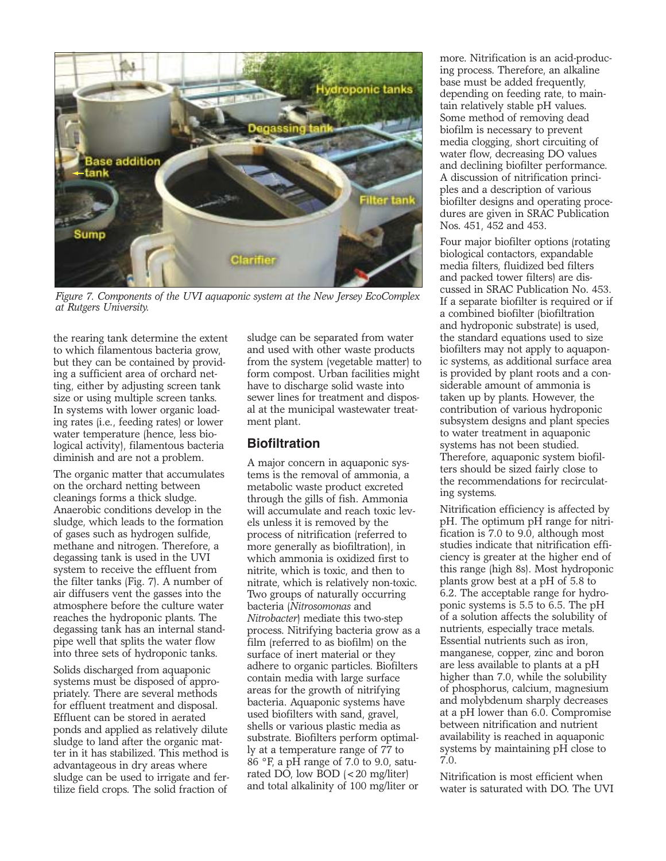

*Figure 7. Components of the UVI aquaponic system at the New Jersey EcoComplex at Rutgers University.*

the rearing tank determine the extent to which filamentous bacteria grow, but they can be contained by providing a sufficient area of orchard netting, either by adjusting screen tank size or using multiple screen tanks. In systems with lower organic loading rates (i.e., feeding rates) or lower water temperature (hence, less biological activity), filamentous bacteria diminish and are not a problem.

The organic matter that accumulates on the orchard netting between cleanings forms a thick sludge. Anaerobic conditions develop in the sludge, which leads to the formation of gases such as hydrogen sulfide, methane and nitrogen. Therefore, a degassing tank is used in the UVI system to receive the effluent from the filter tanks (Fig. 7). A number of air diffusers vent the gasses into the atmosphere before the culture water reaches the hydroponic plants. The degassing tank has an internal standpipe well that splits the water flow into three sets of hydroponic tanks.

Solids discharged from aquaponic systems must be disposed of appropriately. There are several methods for effluent treatment and disposal. Effluent can be stored in aerated ponds and applied as relatively dilute sludge to land after the organic matter in it has stabilized. This method is advantageous in dry areas where sludge can be used to irrigate and fertilize field crops. The solid fraction of

sludge can be separated from water and used with other waste products from the system (vegetable matter) to form compost. Urban facilities might have to discharge solid waste into sewer lines for treatment and disposal at the municipal wastewater treatment plant.

# **Biofiltration**

A major concern in aquaponic systems is the removal of ammonia, a metabolic waste product excreted through the gills of fish. Ammonia will accumulate and reach toxic levels unless it is removed by the process of nitrification (referred to more generally as biofiltration), in which ammonia is oxidized first to nitrite, which is toxic, and then to nitrate, which is relatively non-toxic. Two groups of naturally occurring bacteria (*Nitrosomonas* and *Nitrobacter*) mediate this two-step process. Nitrifying bacteria grow as a film (referred to as biofilm) on the surface of inert material or they adhere to organic particles. Biofilters contain media with large surface areas for the growth of nitrifying bacteria. Aquaponic systems have used biofilters with sand, gravel, shells or various plastic media as substrate. Biofilters perform optimally at a temperature range of 77 to 86 °F, a pH range of 7.0 to 9.0, saturated DO, low BOD (<20 mg/liter) and total alkalinity of 100 mg/liter or

more. Nitrification is an acid-producing process. Therefore, an alkaline base must be added frequently, depending on feeding rate, to maintain relatively stable pH values. Some method of removing dead biofilm is necessary to prevent media clogging, short circuiting of water flow, decreasing DO values and declining biofilter performance. A discussion of nitrification principles and a description of various biofilter designs and operating procedures are given in SRAC Publication Nos. 451, 452 and 453.

Four major biofilter options (rotating biological contactors, expandable media filters, fluidized bed filters and packed tower filters) are discussed in SRAC Publication No. 453. If a separate biofilter is required or if a combined biofilter (biofiltration and hydroponic substrate) is used, the standard equations used to size biofilters may not apply to aquaponic systems, as additional surface area is provided by plant roots and a considerable amount of ammonia is taken up by plants. However, the contribution of various hydroponic subsystem designs and plant species to water treatment in aquaponic systems has not been studied. Therefore, aquaponic system biofilters should be sized fairly close to the recommendations for recirculating systems.

Nitrification efficiency is affected by pH. The optimum pH range for nitrification is 7.0 to 9.0, although most studies indicate that nitrification efficiency is greater at the higher end of this range (high 8s). Most hydroponic plants grow best at a pH of 5.8 to 6.2. The acceptable range for hydroponic systems is 5.5 to 6.5. The pH of a solution affects the solubility of nutrients, especially trace metals. Essential nutrients such as iron, manganese, copper, zinc and boron are less available to plants at a pH higher than 7.0, while the solubility of phosphorus, calcium, magnesium and molybdenum sharply decreases at a pH lower than 6.0. Compromise between nitrification and nutrient availability is reached in aquaponic systems by maintaining pH close to 7.0.

Nitrification is most efficient when water is saturated with DO. The UVI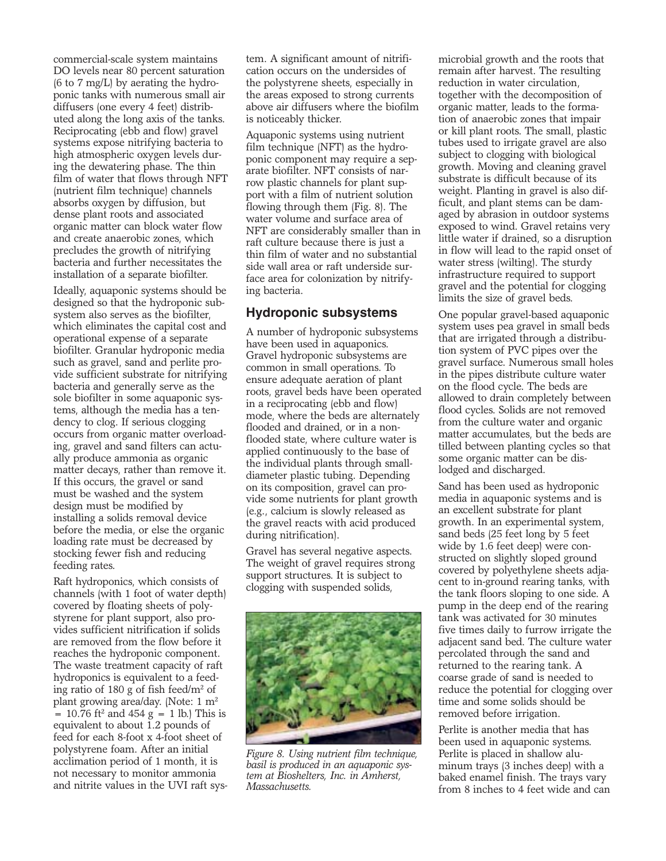commercial-scale system maintains DO levels near 80 percent saturation (6 to 7 mg/L) by aerating the hydroponic tanks with numerous small air diffusers (one every 4 feet) distributed along the long axis of the tanks. Reciprocating (ebb and flow) gravel systems expose nitrifying bacteria to high atmospheric oxygen levels during the dewatering phase. The thin film of water that flows through NFT (nutrient film technique) channels absorbs oxygen by diffusion, but dense plant roots and associated organic matter can block water flow and create anaerobic zones, which precludes the growth of nitrifying bacteria and further necessitates the installation of a separate biofilter.

Ideally, aquaponic systems should be designed so that the hydroponic subsystem also serves as the biofilter, which eliminates the capital cost and operational expense of a separate biofilter. Granular hydroponic media such as gravel, sand and perlite provide sufficient substrate for nitrifying bacteria and generally serve as the sole biofilter in some aquaponic systems, although the media has a tendency to clog. If serious clogging occurs from organic matter overloading, gravel and sand filters can actually produce ammonia as organic matter decays, rather than remove it. If this occurs, the gravel or sand must be washed and the system design must be modified by installing a solids removal device before the media, or else the organic loading rate must be decreased by stocking fewer fish and reducing feeding rates.

Raft hydroponics, which consists of channels (with 1 foot of water depth) covered by floating sheets of polystyrene for plant support, also provides sufficient nitrification if solids are removed from the flow before it reaches the hydroponic component. The waste treatment capacity of raft hydroponics is equivalent to a feeding ratio of 180 g of fish feed/m2 of plant growing area/day. (Note: 1 m<sup>2</sup>  $= 10.76$  ft<sup>2</sup> and 454 g  $= 1$  lb.) This is equivalent to about 1.2 pounds of feed for each 8-foot x 4-foot sheet of polystyrene foam. After an initial acclimation period of 1 month, it is not necessary to monitor ammonia and nitrite values in the UVI raft sys-

tem. A significant amount of nitrification occurs on the undersides of the polystyrene sheets, especially in the areas exposed to strong currents above air diffusers where the biofilm is noticeably thicker.

Aquaponic systems using nutrient film technique (NFT) as the hydroponic component may require a separate biofilter. NFT consists of narrow plastic channels for plant support with a film of nutrient solution flowing through them (Fig. 8). The water volume and surface area of NFT are considerably smaller than in raft culture because there is just a thin film of water and no substantial side wall area or raft underside surface area for colonization by nitrifying bacteria.

## **Hydroponic subsystems**

A number of hydroponic subsystems have been used in aquaponics. Gravel hydroponic subsystems are common in small operations. To ensure adequate aeration of plant roots, gravel beds have been operated in a reciprocating (ebb and flow) mode, where the beds are alternately flooded and drained, or in a nonflooded state, where culture water is applied continuously to the base of the individual plants through smalldiameter plastic tubing. Depending on its composition, gravel can provide some nutrients for plant growth (e.g., calcium is slowly released as the gravel reacts with acid produced during nitrification).

Gravel has several negative aspects. The weight of gravel requires strong support structures. It is subject to clogging with suspended solids,



*Figure 8. Using nutrient film technique, basil is produced in an aquaponic system at Bioshelters, Inc. in Amherst, Massachusetts.*

microbial growth and the roots that remain after harvest. The resulting reduction in water circulation, together with the decomposition of organic matter, leads to the formation of anaerobic zones that impair or kill plant roots. The small, plastic tubes used to irrigate gravel are also subject to clogging with biological growth. Moving and cleaning gravel substrate is difficult because of its weight. Planting in gravel is also difficult, and plant stems can be damaged by abrasion in outdoor systems exposed to wind. Gravel retains very little water if drained, so a disruption in flow will lead to the rapid onset of water stress (wilting). The sturdy infrastructure required to support gravel and the potential for clogging limits the size of gravel beds.

One popular gravel-based aquaponic system uses pea gravel in small beds that are irrigated through a distribution system of PVC pipes over the gravel surface. Numerous small holes in the pipes distribute culture water on the flood cycle. The beds are allowed to drain completely between flood cycles. Solids are not removed from the culture water and organic matter accumulates, but the beds are tilled between planting cycles so that some organic matter can be dislodged and discharged.

Sand has been used as hydroponic media in aquaponic systems and is an excellent substrate for plant growth. In an experimental system, sand beds (25 feet long by 5 feet wide by 1.6 feet deep) were constructed on slightly sloped ground covered by polyethylene sheets adjacent to in-ground rearing tanks, with the tank floors sloping to one side. A pump in the deep end of the rearing tank was activated for 30 minutes five times daily to furrow irrigate the adjacent sand bed. The culture water percolated through the sand and returned to the rearing tank. A coarse grade of sand is needed to reduce the potential for clogging over time and some solids should be removed before irrigation.

Perlite is another media that has been used in aquaponic systems. Perlite is placed in shallow aluminum trays (3 inches deep) with a baked enamel finish. The trays vary from 8 inches to 4 feet wide and can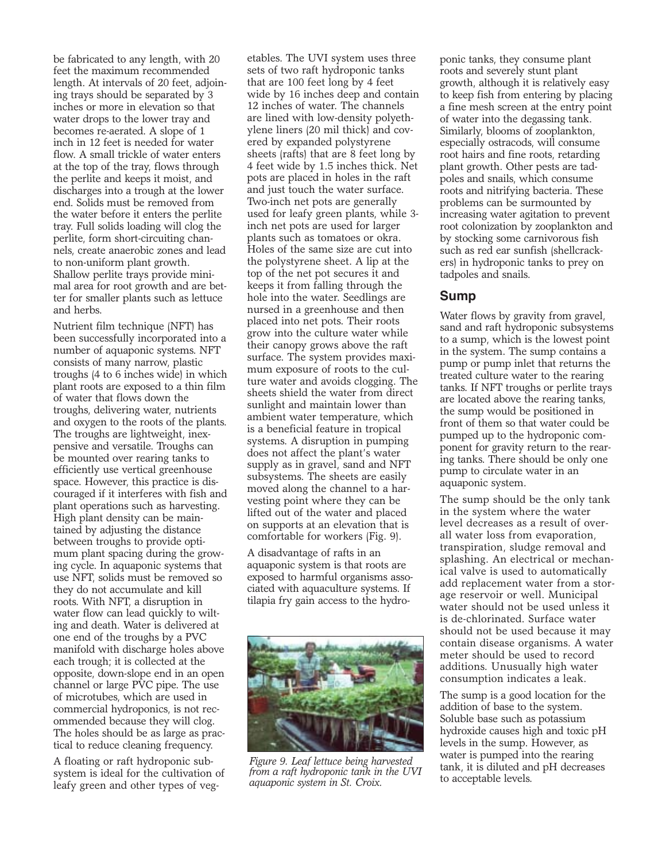be fabricated to any length, with 20 feet the maximum recommended length. At intervals of 20 feet, adjoining trays should be separated by 3 inches or more in elevation so that water drops to the lower tray and becomes re-aerated. A slope of 1 inch in 12 feet is needed for water flow. A small trickle of water enters at the top of the tray, flows through the perlite and keeps it moist, and discharges into a trough at the lower end. Solids must be removed from the water before it enters the perlite tray. Full solids loading will clog the perlite, form short-circuiting channels, create anaerobic zones and lead to non-uniform plant growth. Shallow perlite trays provide minimal area for root growth and are better for smaller plants such as lettuce and herbs.

Nutrient film technique (NFT) has been successfully incorporated into a number of aquaponic systems. NFT consists of many narrow, plastic troughs (4 to 6 inches wide) in which plant roots are exposed to a thin film of water that flows down the troughs, delivering water, nutrients and oxygen to the roots of the plants. The troughs are lightweight, inexpensive and versatile. Troughs can be mounted over rearing tanks to efficiently use vertical greenhouse space. However, this practice is discouraged if it interferes with fish and plant operations such as harvesting. High plant density can be maintained by adjusting the distance between troughs to provide optimum plant spacing during the growing cycle. In aquaponic systems that use NFT, solids must be removed so they do not accumulate and kill roots. With NFT, a disruption in water flow can lead quickly to wilting and death. Water is delivered at one end of the troughs by a PVC manifold with discharge holes above each trough; it is collected at the opposite, down-slope end in an open channel or large PVC pipe. The use of microtubes, which are used in commercial hydroponics, is not recommended because they will clog. The holes should be as large as practical to reduce cleaning frequency.

A floating or raft hydroponic subsystem is ideal for the cultivation of leafy green and other types of vegetables. The UVI system uses three sets of two raft hydroponic tanks that are 100 feet long by 4 feet wide by 16 inches deep and contain 12 inches of water. The channels are lined with low-density polyethylene liners (20 mil thick) and covered by expanded polystyrene sheets (rafts) that are 8 feet long by 4 feet wide by 1.5 inches thick. Net pots are placed in holes in the raft and just touch the water surface. Two-inch net pots are generally used for leafy green plants, while 3 inch net pots are used for larger plants such as tomatoes or okra. Holes of the same size are cut into the polystyrene sheet. A lip at the top of the net pot secures it and keeps it from falling through the hole into the water. Seedlings are nursed in a greenhouse and then placed into net pots. Their roots grow into the culture water while their canopy grows above the raft surface. The system provides maximum exposure of roots to the culture water and avoids clogging. The sheets shield the water from direct sunlight and maintain lower than ambient water temperature, which is a beneficial feature in tropical systems. A disruption in pumping does not affect the plant's water supply as in gravel, sand and NFT subsystems. The sheets are easily moved along the channel to a harvesting point where they can be lifted out of the water and placed on supports at an elevation that is comfortable for workers (Fig. 9).

A disadvantage of rafts in an aquaponic system is that roots are exposed to harmful organisms associated with aquaculture systems. If tilapia fry gain access to the hydro-



*Figure 9. Leaf lettuce being harvested from a raft hydroponic tank in the UVI aquaponic system in St. Croix.*

ponic tanks, they consume plant roots and severely stunt plant growth, although it is relatively easy to keep fish from entering by placing a fine mesh screen at the entry point of water into the degassing tank. Similarly, blooms of zooplankton, especially ostracods, will consume root hairs and fine roots, retarding plant growth. Other pests are tadpoles and snails, which consume roots and nitrifying bacteria. These problems can be surmounted by increasing water agitation to prevent root colonization by zooplankton and by stocking some carnivorous fish such as red ear sunfish (shellcrackers) in hydroponic tanks to prey on tadpoles and snails.

## **Sump**

Water flows by gravity from gravel, sand and raft hydroponic subsystems to a sump, which is the lowest point in the system. The sump contains a pump or pump inlet that returns the treated culture water to the rearing tanks. If NFT troughs or perlite trays are located above the rearing tanks, the sump would be positioned in front of them so that water could be pumped up to the hydroponic component for gravity return to the rearing tanks. There should be only one pump to circulate water in an aquaponic system.

The sump should be the only tank in the system where the water level decreases as a result of overall water loss from evaporation, transpiration, sludge removal and splashing. An electrical or mechanical valve is used to automatically add replacement water from a storage reservoir or well. Municipal water should not be used unless it is de-chlorinated. Surface water should not be used because it may contain disease organisms. A water meter should be used to record additions. Unusually high water consumption indicates a leak.

The sump is a good location for the addition of base to the system. Soluble base such as potassium hydroxide causes high and toxic pH levels in the sump. However, as water is pumped into the rearing tank, it is diluted and pH decreases to acceptable levels.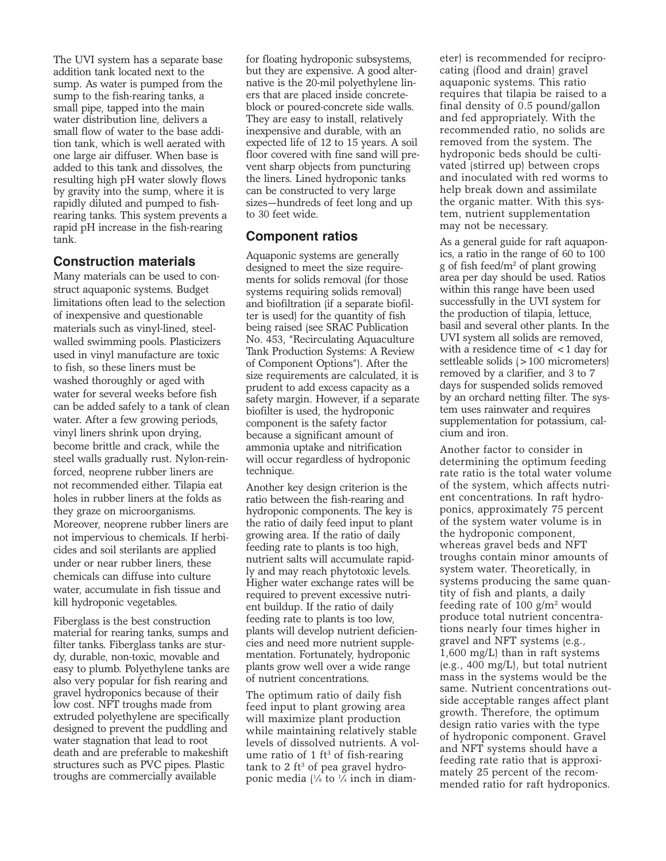The UVI system has a separate base addition tank located next to the sump. As water is pumped from the sump to the fish-rearing tanks, a small pipe, tapped into the main water distribution line, delivers a small flow of water to the base addition tank, which is well aerated with one large air diffuser. When base is added to this tank and dissolves, the resulting high pH water slowly flows by gravity into the sump, where it is rapidly diluted and pumped to fishrearing tanks. This system prevents a rapid pH increase in the fish-rearing tank.

## **Construction materials**

Many materials can be used to construct aquaponic systems. Budget limitations often lead to the selection of inexpensive and questionable materials such as vinyl-lined, steelwalled swimming pools. Plasticizers used in vinyl manufacture are toxic to fish, so these liners must be washed thoroughly or aged with water for several weeks before fish can be added safely to a tank of clean water. After a few growing periods, vinyl liners shrink upon drying, become brittle and crack, while the steel walls gradually rust. Nylon-reinforced, neoprene rubber liners are not recommended either. Tilapia eat holes in rubber liners at the folds as they graze on microorganisms. Moreover, neoprene rubber liners are not impervious to chemicals. If herbicides and soil sterilants are applied under or near rubber liners, these chemicals can diffuse into culture water, accumulate in fish tissue and kill hydroponic vegetables.

Fiberglass is the best construction material for rearing tanks, sumps and filter tanks. Fiberglass tanks are sturdy, durable, non-toxic, movable and easy to plumb. Polyethylene tanks are also very popular for fish rearing and gravel hydroponics because of their low cost. NFT troughs made from extruded polyethylene are specifically designed to prevent the puddling and water stagnation that lead to root death and are preferable to makeshift structures such as PVC pipes. Plastic troughs are commercially available

for floating hydroponic subsystems, but they are expensive. A good alternative is the 20-mil polyethylene liners that are placed inside concreteblock or poured-concrete side walls. They are easy to install, relatively inexpensive and durable, with an expected life of 12 to 15 years. A soil floor covered with fine sand will prevent sharp objects from puncturing the liners. Lined hydroponic tanks can be constructed to very large sizes—hundreds of feet long and up to 30 feet wide.

# **Component ratios**

Aquaponic systems are generally designed to meet the size requirements for solids removal (for those systems requiring solids removal) and biofiltration (if a separate biofilter is used) for the quantity of fish being raised (see SRAC Publication No. 453, "Recirculating Aquaculture Tank Production Systems: A Review of Component Options"). After the size requirements are calculated, it is prudent to add excess capacity as a safety margin. However, if a separate biofilter is used, the hydroponic component is the safety factor because a significant amount of ammonia uptake and nitrification will occur regardless of hydroponic technique.

Another key design criterion is the ratio between the fish-rearing and hydroponic components. The key is the ratio of daily feed input to plant growing area. If the ratio of daily feeding rate to plants is too high, nutrient salts will accumulate rapidly and may reach phytotoxic levels. Higher water exchange rates will be required to prevent excessive nutrient buildup. If the ratio of daily feeding rate to plants is too low, plants will develop nutrient deficiencies and need more nutrient supplementation. Fortunately, hydroponic plants grow well over a wide range of nutrient concentrations.

The optimum ratio of daily fish feed input to plant growing area will maximize plant production while maintaining relatively stable levels of dissolved nutrients. A volume ratio of  $1 \text{ ft}^3$  of fish-rearing tank to 2 ft<sup>3</sup> of pea gravel hydroponic media (1 ⁄8 to 1 ⁄4 inch in diameter) is recommended for reciprocating (flood and drain) gravel aquaponic systems. This ratio requires that tilapia be raised to a final density of 0.5 pound/gallon and fed appropriately. With the recommended ratio, no solids are removed from the system. The hydroponic beds should be cultivated (stirred up) between crops and inoculated with red worms to help break down and assimilate the organic matter. With this system, nutrient supplementation may not be necessary.

As a general guide for raft aquaponics, a ratio in the range of 60 to 100 g of fish feed/m2 of plant growing area per day should be used. Ratios within this range have been used successfully in the UVI system for the production of tilapia, lettuce, basil and several other plants. In the UVI system all solids are removed, with a residence time of  $\lt 1$  day for settleable solids (>100 micrometers) removed by a clarifier, and 3 to 7 days for suspended solids removed by an orchard netting filter. The system uses rainwater and requires supplementation for potassium, calcium and iron.

Another factor to consider in determining the optimum feeding rate ratio is the total water volume of the system, which affects nutrient concentrations. In raft hydroponics, approximately 75 percent of the system water volume is in the hydroponic component, whereas gravel beds and NFT troughs contain minor amounts of system water. Theoretically, in systems producing the same quantity of fish and plants, a daily feeding rate of 100  $g/m^2$  would produce total nutrient concentrations nearly four times higher in gravel and NFT systems (e.g., 1,600 mg/L) than in raft systems (e.g., 400 mg/L), but total nutrient mass in the systems would be the same. Nutrient concentrations outside acceptable ranges affect plant growth. Therefore, the optimum design ratio varies with the type of hydroponic component. Gravel and NFT systems should have a feeding rate ratio that is approximately 25 percent of the recommended ratio for raft hydroponics.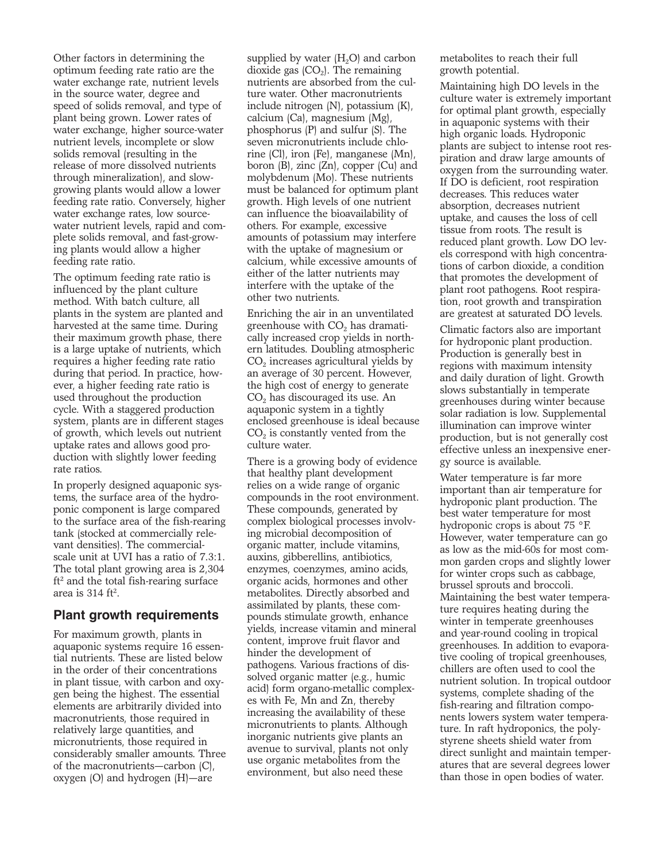Other factors in determining the optimum feeding rate ratio are the water exchange rate, nutrient levels in the source water, degree and speed of solids removal, and type of plant being grown. Lower rates of water exchange, higher source-water nutrient levels, incomplete or slow solids removal (resulting in the release of more dissolved nutrients through mineralization), and slowgrowing plants would allow a lower feeding rate ratio. Conversely, higher water exchange rates, low sourcewater nutrient levels, rapid and complete solids removal, and fast-growing plants would allow a higher feeding rate ratio.

The optimum feeding rate ratio is influenced by the plant culture method. With batch culture, all plants in the system are planted and harvested at the same time. During their maximum growth phase, there is a large uptake of nutrients, which requires a higher feeding rate ratio during that period. In practice, however, a higher feeding rate ratio is used throughout the production cycle. With a staggered production system, plants are in different stages of growth, which levels out nutrient uptake rates and allows good production with slightly lower feeding rate ratios.

In properly designed aquaponic systems, the surface area of the hydroponic component is large compared to the surface area of the fish-rearing tank (stocked at commercially relevant densities). The commercialscale unit at UVI has a ratio of 7.3:1. The total plant growing area is 2,304  $ft<sup>2</sup>$  and the total fish-rearing surface area is  $314$  ft<sup>2</sup>.

#### **Plant growth requirements**

For maximum growth, plants in aquaponic systems require 16 essential nutrients. These are listed below in the order of their concentrations in plant tissue, with carbon and oxygen being the highest. The essential elements are arbitrarily divided into macronutrients, those required in relatively large quantities, and micronutrients, those required in considerably smaller amounts. Three of the macronutrients—carbon (C), oxygen (O) and hydrogen (H)—are

supplied by water  $(H_2O)$  and carbon dioxide gas  $(CO<sub>2</sub>)$ . The remaining nutrients are absorbed from the culture water. Other macronutrients include nitrogen (N), potassium (K), calcium (Ca), magnesium (Mg), phosphorus (P) and sulfur (S). The seven micronutrients include chlorine (Cl), iron (Fe), manganese (Mn), boron (B), zinc (Zn), copper (Cu) and molybdenum (Mo). These nutrients must be balanced for optimum plant growth. High levels of one nutrient can influence the bioavailability of others. For example, excessive amounts of potassium may interfere with the uptake of magnesium or calcium, while excessive amounts of either of the latter nutrients may interfere with the uptake of the other two nutrients.

Enriching the air in an unventilated greenhouse with CO<sub>2</sub> has dramatically increased crop yields in northern latitudes. Doubling atmospheric CO<sub>2</sub> increases agricultural yields by an average of 30 percent. However, the high cost of energy to generate  $CO<sub>2</sub>$  has discouraged its use. An aquaponic system in a tightly enclosed greenhouse is ideal because  $CO<sub>2</sub>$  is constantly vented from the culture water.

There is a growing body of evidence that healthy plant development relies on a wide range of organic compounds in the root environment. These compounds, generated by complex biological processes involving microbial decomposition of organic matter, include vitamins, auxins, gibberellins, antibiotics, enzymes, coenzymes, amino acids, organic acids, hormones and other metabolites. Directly absorbed and assimilated by plants, these compounds stimulate growth, enhance yields, increase vitamin and mineral content, improve fruit flavor and hinder the development of pathogens. Various fractions of dissolved organic matter (e.g., humic acid) form organo-metallic complexes with Fe, Mn and Zn, thereby increasing the availability of these micronutrients to plants. Although inorganic nutrients give plants an avenue to survival, plants not only use organic metabolites from the environment, but also need these

metabolites to reach their full growth potential.

Maintaining high DO levels in the culture water is extremely important for optimal plant growth, especially in aquaponic systems with their high organic loads. Hydroponic plants are subject to intense root respiration and draw large amounts of oxygen from the surrounding water. If DO is deficient, root respiration decreases. This reduces water absorption, decreases nutrient uptake, and causes the loss of cell tissue from roots. The result is reduced plant growth. Low DO levels correspond with high concentrations of carbon dioxide, a condition that promotes the development of plant root pathogens. Root respiration, root growth and transpiration are greatest at saturated DO levels.

Climatic factors also are important for hydroponic plant production. Production is generally best in regions with maximum intensity and daily duration of light. Growth slows substantially in temperate greenhouses during winter because solar radiation is low. Supplemental illumination can improve winter production, but is not generally cost effective unless an inexpensive energy source is available.

Water temperature is far more important than air temperature for hydroponic plant production. The best water temperature for most hydroponic crops is about 75 °F. However, water temperature can go as low as the mid-60s for most common garden crops and slightly lower for winter crops such as cabbage, brussel sprouts and broccoli. Maintaining the best water temperature requires heating during the winter in temperate greenhouses and year-round cooling in tropical greenhouses. In addition to evaporative cooling of tropical greenhouses, chillers are often used to cool the nutrient solution. In tropical outdoor systems, complete shading of the fish-rearing and filtration components lowers system water temperature. In raft hydroponics, the polystyrene sheets shield water from direct sunlight and maintain temperatures that are several degrees lower than those in open bodies of water.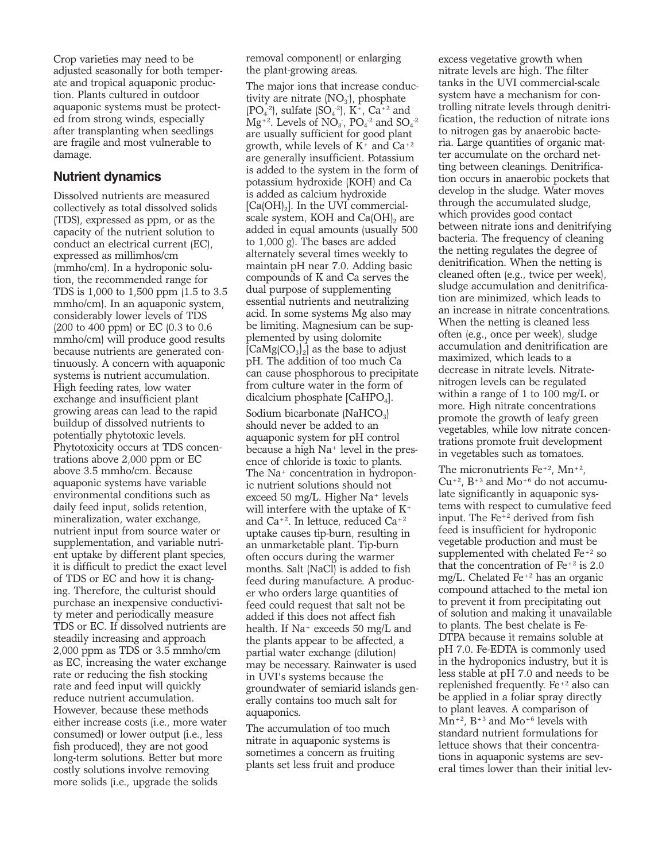Crop varieties may need to be adjusted seasonally for both temperate and tropical aquaponic production. Plants cultured in outdoor aquaponic systems must be protected from strong winds, especially after transplanting when seedlings are fragile and most vulnerable to damage.

## **Nutrient dynamics**

Dissolved nutrients are measured collectively as total dissolved solids (TDS), expressed as ppm, or as the capacity of the nutrient solution to conduct an electrical current (EC), expressed as millimhos/cm (mmho/cm). In a hydroponic solution, the recommended range for TDS is 1,000 to 1,500 ppm (1.5 to 3.5 mmho/cm). In an aquaponic system, considerably lower levels of TDS (200 to 400 ppm) or EC (0.3 to 0.6 mmho/cm) will produce good results because nutrients are generated continuously. A concern with aquaponic systems is nutrient accumulation. High feeding rates, low water exchange and insufficient plant growing areas can lead to the rapid buildup of dissolved nutrients to potentially phytotoxic levels. Phytotoxicity occurs at TDS concentrations above 2,000 ppm or EC above 3.5 mmho/cm. Because aquaponic systems have variable environmental conditions such as daily feed input, solids retention, mineralization, water exchange, nutrient input from source water or supplementation, and variable nutrient uptake by different plant species, it is difficult to predict the exact level of TDS or EC and how it is changing. Therefore, the culturist should purchase an inexpensive conductivity meter and periodically measure TDS or EC. If dissolved nutrients are steadily increasing and approach 2,000 ppm as TDS or 3.5 mmho/cm as EC, increasing the water exchange rate or reducing the fish stocking rate and feed input will quickly reduce nutrient accumulation. However, because these methods either increase costs (i.e., more water consumed) or lower output (i.e., less fish produced), they are not good long-term solutions. Better but more costly solutions involve removing more solids (i.e., upgrade the solids

removal component) or enlarging the plant-growing areas.

The major ions that increase conductivity are nitrate  $(NO<sub>3</sub>)$ , phosphate  $(PO<sub>4</sub><sup>-2</sup>)$ , sulfate  $(SO<sub>4</sub><sup>-2</sup>)$ , K<sup>+</sup>, Ca<sup>+2</sup> and  $Mg^{+2}$ . Levels of  $NO_3$ ,  $PO_4^{\cdot 2}$  and  $SO_4^{\cdot 2}$ are usually sufficient for good plant growth, while levels of  $K^+$  and  $Ca^{+2}$ are generally insufficient. Potassium is added to the system in the form of potassium hydroxide (KOH) and Ca is added as calcium hydroxide  $[Ca(OH)<sub>2</sub>]$ . In the UVI commercialscale system, KOH and Ca(OH), are added in equal amounts (usually 500 to 1,000 g). The bases are added alternately several times weekly to maintain pH near 7.0. Adding basic compounds of K and Ca serves the dual purpose of supplementing essential nutrients and neutralizing acid. In some systems Mg also may be limiting. Magnesium can be supplemented by using dolomite  $[CaMg(CO<sub>3</sub>)<sub>2</sub>]$  as the base to adjust pH. The addition of too much Ca can cause phosphorous to precipitate from culture water in the form of dicalcium phosphate  $[CaHPO<sub>4</sub>]$ .

Sodium bicarbonate (NaHCO<sub>3</sub>) should never be added to an aquaponic system for pH control because a high Na+ level in the presence of chloride is toxic to plants. The Na<sup>+</sup> concentration in hydroponic nutrient solutions should not exceed 50 mg/L. Higher Na+ levels will interfere with the uptake of  $K^+$ and  $Ca^{+2}$ . In lettuce, reduced  $Ca^{+2}$ uptake causes tip-burn, resulting in an unmarketable plant. Tip-burn often occurs during the warmer months. Salt (NaCl) is added to fish feed during manufacture. A producer who orders large quantities of feed could request that salt not be added if this does not affect fish health. If Na+ exceeds 50 mg/L and the plants appear to be affected, a partial water exchange (dilution) may be necessary. Rainwater is used in UVI's systems because the groundwater of semiarid islands generally contains too much salt for aquaponics.

The accumulation of too much nitrate in aquaponic systems is sometimes a concern as fruiting plants set less fruit and produce excess vegetative growth when nitrate levels are high. The filter tanks in the UVI commercial-scale system have a mechanism for controlling nitrate levels through denitrification, the reduction of nitrate ions to nitrogen gas by anaerobic bacteria. Large quantities of organic matter accumulate on the orchard netting between cleanings. Denitrification occurs in anaerobic pockets that develop in the sludge. Water moves through the accumulated sludge, which provides good contact between nitrate ions and denitrifying bacteria. The frequency of cleaning the netting regulates the degree of denitrification. When the netting is cleaned often (e.g., twice per week), sludge accumulation and denitrification are minimized, which leads to an increase in nitrate concentrations. When the netting is cleaned less often (e.g., once per week), sludge accumulation and denitrification are maximized, which leads to a decrease in nitrate levels. Nitratenitrogen levels can be regulated within a range of 1 to 100 mg/L or more. High nitrate concentrations promote the growth of leafy green vegetables, while low nitrate concentrations promote fruit development in vegetables such as tomatoes.

The micronutrients  $Fe^{+2}$ ,  $Mn^{+2}$ ,  $Cu+2$ ,  $B+3$  and  $Mo+6$  do not accumulate significantly in aquaponic systems with respect to cumulative feed input. The Fe+2 derived from fish feed is insufficient for hydroponic vegetable production and must be supplemented with chelated Fe+2 so that the concentration of  $Fe<sup>+2</sup>$  is 2.0 mg/L. Chelated Fe+2 has an organic compound attached to the metal ion to prevent it from precipitating out of solution and making it unavailable to plants. The best chelate is Fe-DTPA because it remains soluble at pH 7.0. Fe-EDTA is commonly used in the hydroponics industry, but it is less stable at pH 7.0 and needs to be replenished frequently. Fe+2 also can be applied in a foliar spray directly to plant leaves. A comparison of  $Mn^{+2}$ , B<sup>+3</sup> and  $Mo^{+6}$  levels with standard nutrient formulations for lettuce shows that their concentrations in aquaponic systems are several times lower than their initial lev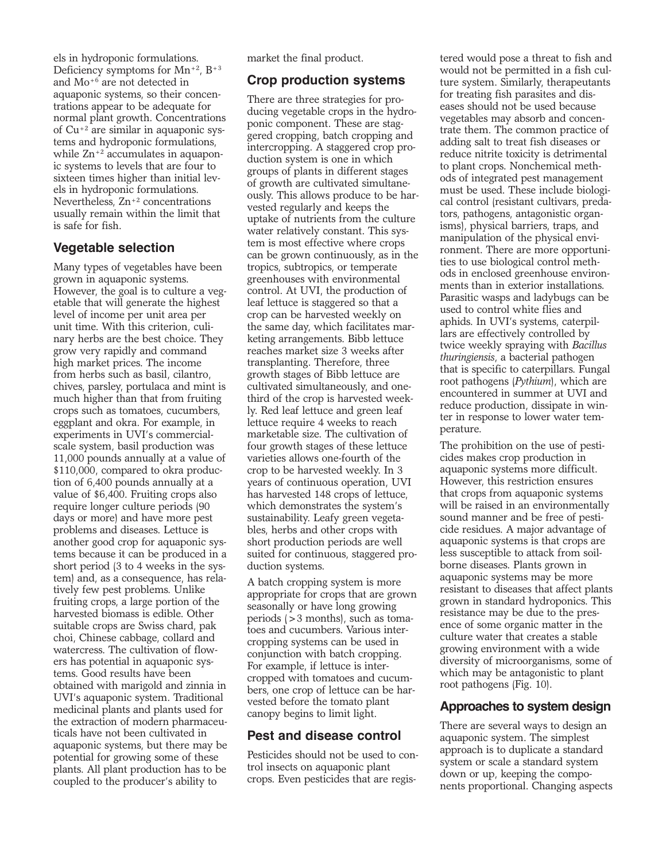els in hydroponic formulations. Deficiency symptoms for  $Mn^{+2}$ ,  $B^{+3}$ and Mo+6 are not detected in aquaponic systems, so their concentrations appear to be adequate for normal plant growth. Concentrations of Cu+2 are similar in aquaponic systems and hydroponic formulations, while  $\text{Zn}^{+2}$  accumulates in aquaponic systems to levels that are four to sixteen times higher than initial levels in hydroponic formulations. Nevertheless, Zn+2 concentrations usually remain within the limit that is safe for fish.

# **Vegetable selection**

Many types of vegetables have been grown in aquaponic systems. However, the goal is to culture a vegetable that will generate the highest level of income per unit area per unit time. With this criterion, culinary herbs are the best choice. They grow very rapidly and command high market prices. The income from herbs such as basil, cilantro, chives, parsley, portulaca and mint is much higher than that from fruiting crops such as tomatoes, cucumbers, eggplant and okra. For example, in experiments in UVI's commercialscale system, basil production was 11,000 pounds annually at a value of \$110,000, compared to okra production of 6,400 pounds annually at a value of \$6,400. Fruiting crops also require longer culture periods (90 days or more) and have more pest problems and diseases. Lettuce is another good crop for aquaponic systems because it can be produced in a short period (3 to 4 weeks in the system) and, as a consequence, has relatively few pest problems. Unlike fruiting crops, a large portion of the harvested biomass is edible. Other suitable crops are Swiss chard, pak choi, Chinese cabbage, collard and watercress. The cultivation of flowers has potential in aquaponic systems. Good results have been obtained with marigold and zinnia in UVI's aquaponic system. Traditional medicinal plants and plants used for the extraction of modern pharmaceuticals have not been cultivated in aquaponic systems, but there may be potential for growing some of these plants. All plant production has to be coupled to the producer's ability to

market the final product.

## **Crop production systems**

There are three strategies for producing vegetable crops in the hydroponic component. These are staggered cropping, batch cropping and intercropping. A staggered crop production system is one in which groups of plants in different stages of growth are cultivated simultaneously. This allows produce to be harvested regularly and keeps the uptake of nutrients from the culture water relatively constant. This system is most effective where crops can be grown continuously, as in the tropics, subtropics, or temperate greenhouses with environmental control. At UVI, the production of leaf lettuce is staggered so that a crop can be harvested weekly on the same day, which facilitates marketing arrangements. Bibb lettuce reaches market size 3 weeks after transplanting. Therefore, three growth stages of Bibb lettuce are cultivated simultaneously, and onethird of the crop is harvested weekly. Red leaf lettuce and green leaf lettuce require 4 weeks to reach marketable size. The cultivation of four growth stages of these lettuce varieties allows one-fourth of the crop to be harvested weekly. In 3 years of continuous operation, UVI has harvested 148 crops of lettuce, which demonstrates the system's sustainability. Leafy green vegetables, herbs and other crops with short production periods are well suited for continuous, staggered production systems.

A batch cropping system is more appropriate for crops that are grown seasonally or have long growing periods (>3 months), such as tomatoes and cucumbers. Various intercropping systems can be used in conjunction with batch cropping. For example, if lettuce is intercropped with tomatoes and cucumbers, one crop of lettuce can be harvested before the tomato plant canopy begins to limit light.

## **Pest and disease control**

Pesticides should not be used to control insects on aquaponic plant crops. Even pesticides that are registered would pose a threat to fish and would not be permitted in a fish culture system. Similarly, therapeutants for treating fish parasites and diseases should not be used because vegetables may absorb and concentrate them. The common practice of adding salt to treat fish diseases or reduce nitrite toxicity is detrimental to plant crops. Nonchemical methods of integrated pest management must be used. These include biological control (resistant cultivars, predators, pathogens, antagonistic organisms), physical barriers, traps, and manipulation of the physical environment. There are more opportunities to use biological control methods in enclosed greenhouse environments than in exterior installations. Parasitic wasps and ladybugs can be used to control white flies and aphids. In UVI's systems, caterpillars are effectively controlled by twice weekly spraying with *Bacillus thuringiensis*, a bacterial pathogen that is specific to caterpillars. Fungal root pathogens (*Pythium*), which are encountered in summer at UVI and reduce production, dissipate in winter in response to lower water temperature.

The prohibition on the use of pesticides makes crop production in aquaponic systems more difficult. However, this restriction ensures that crops from aquaponic systems will be raised in an environmentally sound manner and be free of pesticide residues. A major advantage of aquaponic systems is that crops are less susceptible to attack from soilborne diseases. Plants grown in aquaponic systems may be more resistant to diseases that affect plants grown in standard hydroponics. This resistance may be due to the presence of some organic matter in the culture water that creates a stable growing environment with a wide diversity of microorganisms, some of which may be antagonistic to plant root pathogens (Fig. 10).

# **Approaches to system design**

There are several ways to design an aquaponic system. The simplest approach is to duplicate a standard system or scale a standard system down or up, keeping the components proportional. Changing aspects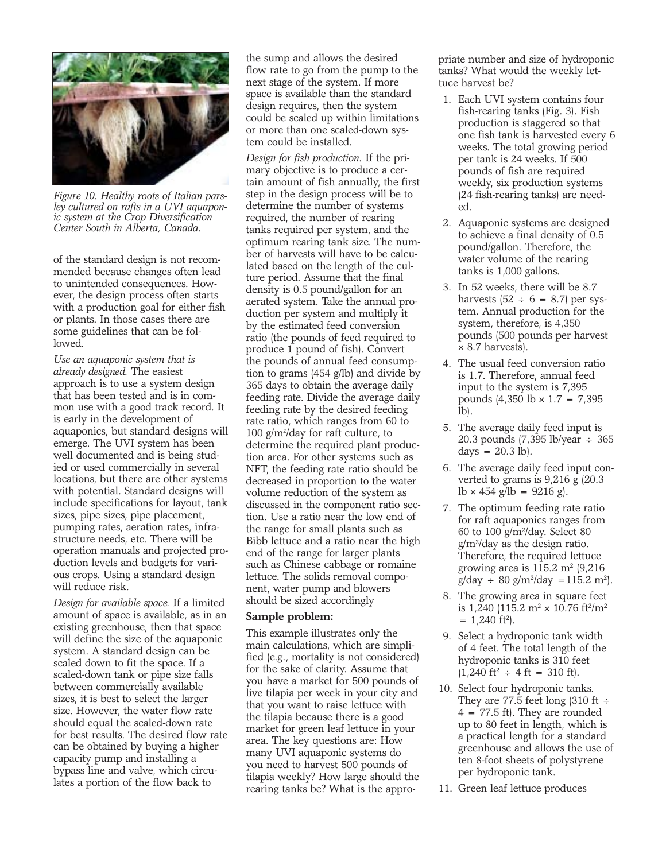

*Figure 10. Healthy roots of Italian parsley cultured on rafts in a UVI aquaponic system at the Crop Diversification Center South in Alberta, Canada.*

of the standard design is not recommended because changes often lead to unintended consequences. However, the design process often starts with a production goal for either fish or plants. In those cases there are some guidelines that can be followed.

*Use an aquaponic system that is already designed.* The easiest approach is to use a system design that has been tested and is in common use with a good track record. It is early in the development of aquaponics, but standard designs will emerge. The UVI system has been well documented and is being studied or used commercially in several locations, but there are other systems with potential. Standard designs will include specifications for layout, tank sizes, pipe sizes, pipe placement, pumping rates, aeration rates, infrastructure needs, etc. There will be operation manuals and projected production levels and budgets for various crops. Using a standard design will reduce risk.

*Design for available space.* If a limited amount of space is available, as in an existing greenhouse, then that space will define the size of the aquaponic system. A standard design can be scaled down to fit the space. If a scaled-down tank or pipe size falls between commercially available sizes, it is best to select the larger size. However, the water flow rate should equal the scaled-down rate for best results. The desired flow rate can be obtained by buying a higher capacity pump and installing a bypass line and valve, which circulates a portion of the flow back to

the sump and allows the desired flow rate to go from the pump to the next stage of the system. If more space is available than the standard design requires, then the system could be scaled up within limitations or more than one scaled-down system could be installed.

*Design for fish production.* If the primary objective is to produce a certain amount of fish annually, the first step in the design process will be to determine the number of systems required, the number of rearing tanks required per system, and the optimum rearing tank size. The number of harvests will have to be calculated based on the length of the culture period. Assume that the final density is 0.5 pound/gallon for an aerated system. Take the annual production per system and multiply it by the estimated feed conversion ratio (the pounds of feed required to produce 1 pound of fish). Convert the pounds of annual feed consumption to grams (454 g/lb) and divide by 365 days to obtain the average daily feeding rate. Divide the average daily feeding rate by the desired feeding rate ratio, which ranges from 60 to 100 g/m2 /day for raft culture, to determine the required plant production area. For other systems such as NFT, the feeding rate ratio should be decreased in proportion to the water volume reduction of the system as discussed in the component ratio section. Use a ratio near the low end of the range for small plants such as Bibb lettuce and a ratio near the high end of the range for larger plants such as Chinese cabbage or romaine lettuce. The solids removal component, water pump and blowers should be sized accordingly

#### **Sample problem:**

This example illustrates only the main calculations, which are simplified (e.g., mortality is not considered) for the sake of clarity. Assume that you have a market for 500 pounds of live tilapia per week in your city and that you want to raise lettuce with the tilapia because there is a good market for green leaf lettuce in your area. The key questions are: How many UVI aquaponic systems do you need to harvest 500 pounds of tilapia weekly? How large should the rearing tanks be? What is the appropriate number and size of hydroponic tanks? What would the weekly lettuce harvest be?

- 1. Each UVI system contains four fish-rearing tanks (Fig. 3). Fish production is staggered so that one fish tank is harvested every 6 weeks. The total growing period per tank is 24 weeks. If 500 pounds of fish are required weekly, six production systems (24 fish-rearing tanks) are needed.
- 2. Aquaponic systems are designed to achieve a final density of 0.5 pound/gallon. Therefore, the water volume of the rearing tanks is 1,000 gallons.
- 3. In 52 weeks, there will be 8.7 harvests  $(52 \div 6 = 8.7)$  per system. Annual production for the system, therefore, is 4,350 pounds (500 pounds per harvest × 8.7 harvests).
- 4. The usual feed conversion ratio is 1.7. Therefore, annual feed input to the system is 7,395 pounds  $(4,350 \text{ lb} \times 1.7 = 7,395$  $l_{\rm bb}$
- 5. The average daily feed input is 20.3 pounds (7,395 lb/year ÷ 365 days  $= 20.3$  lb).
- 6. The average daily feed input converted to grams is 9,216 g (20.3  $lb \times 454$  g/lb = 9216 g).
- 7. The optimum feeding rate ratio for raft aquaponics ranges from 60 to 100 g/m2/day. Select 80 g/m2/day as the design ratio. Therefore, the required lettuce growing area is  $115.2 \text{ m}^2 (9.216)$  $g/day \div 80 \frac{g}{m^2/day} = 115.2 \frac{m^2}{.}$
- 8. The growing area in square feet is 1,240 (115.2 m<sup>2</sup> × 10.76 ft<sup>2</sup>/m<sup>2</sup>  $= 1,240$  ft<sup>2</sup>).
- 9. Select a hydroponic tank width of 4 feet. The total length of the hydroponic tanks is 310 feet  $(1,240 \text{ ft}^2 \div 4 \text{ ft} = 310 \text{ ft}).$
- 10. Select four hydroponic tanks. They are 77.5 feet long  $(310 \text{ ft} \div )$  $4 = 77.5$  ft). They are rounded up to 80 feet in length, which is a practical length for a standard greenhouse and allows the use of ten 8-foot sheets of polystyrene per hydroponic tank.
- 11. Green leaf lettuce produces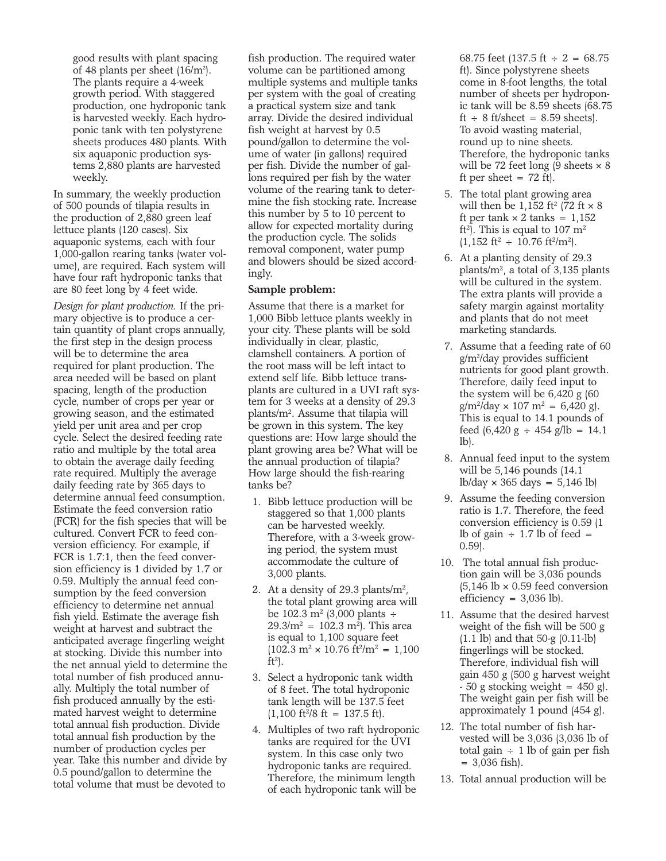good results with plant spacing of 48 plants per sheet  $(16/m^2)$ . The plants require a 4-week growth period. With staggered production, one hydroponic tank is harvested weekly. Each hydroponic tank with ten polystyrene sheets produces 480 plants. With six aquaponic production systems 2,880 plants are harvested weekly.

In summary, the weekly production of 500 pounds of tilapia results in the production of 2,880 green leaf lettuce plants (120 cases). Six aquaponic systems, each with four 1,000-gallon rearing tanks (water volume), are required. Each system will have four raft hydroponic tanks that are 80 feet long by 4 feet wide.

*Design for plant production.* If the primary objective is to produce a certain quantity of plant crops annually, the first step in the design process will be to determine the area required for plant production. The area needed will be based on plant spacing, length of the production cycle, number of crops per year or growing season, and the estimated yield per unit area and per crop cycle. Select the desired feeding rate ratio and multiple by the total area to obtain the average daily feeding rate required. Multiply the average daily feeding rate by 365 days to determine annual feed consumption. Estimate the feed conversion ratio (FCR) for the fish species that will be cultured. Convert FCR to feed conversion efficiency. For example, if FCR is 1.7:1, then the feed conversion efficiency is 1 divided by 1.7 or 0.59. Multiply the annual feed consumption by the feed conversion efficiency to determine net annual fish yield. Estimate the average fish weight at harvest and subtract the anticipated average fingerling weight at stocking. Divide this number into the net annual yield to determine the total number of fish produced annually. Multiply the total number of fish produced annually by the estimated harvest weight to determine total annual fish production. Divide total annual fish production by the number of production cycles per year. Take this number and divide by 0.5 pound/gallon to determine the total volume that must be devoted to

fish production. The required water volume can be partitioned among multiple systems and multiple tanks per system with the goal of creating a practical system size and tank array. Divide the desired individual fish weight at harvest by 0.5 pound/gallon to determine the volume of water (in gallons) required per fish. Divide the number of gallons required per fish by the water volume of the rearing tank to determine the fish stocking rate. Increase this number by 5 to 10 percent to allow for expected mortality during the production cycle. The solids removal component, water pump and blowers should be sized accordingly.

#### **Sample problem:**

Assume that there is a market for 1,000 Bibb lettuce plants weekly in your city. These plants will be sold individually in clear, plastic, clamshell containers. A portion of the root mass will be left intact to extend self life. Bibb lettuce transplants are cultured in a UVI raft system for 3 weeks at a density of 29.3 plants/m2. Assume that tilapia will be grown in this system. The key questions are: How large should the plant growing area be? What will be the annual production of tilapia? How large should the fish-rearing tanks be?

- 1. Bibb lettuce production will be staggered so that 1,000 plants can be harvested weekly. Therefore, with a 3-week growing period, the system must accommodate the culture of 3,000 plants.
- 2. At a density of 29.3 plants/ $m^2$ , the total plant growing area will be 102.3 m<sup>2</sup> (3,000 plants ÷  $29.3/m^2 = 102.3 m^2$ . This area is equal to 1,100 square feet  $(102.3 \text{ m}^2 \times 10.76 \text{ ft}^2/\text{m}^2 = 1,100$  $ft^2$ ).
- 3. Select a hydroponic tank width of 8 feet. The total hydroponic tank length will be 137.5 feet  $(1,100 \text{ ft}^2/8 \text{ ft} = 137.5 \text{ ft}).$
- 4. Multiples of two raft hydroponic tanks are required for the UVI system. In this case only two hydroponic tanks are required. Therefore, the minimum length of each hydroponic tank will be

68.75 feet  $(137.5 \text{ ft} \div 2 = 68.75)$ ft). Since polystyrene sheets come in 8-foot lengths, the total number of sheets per hydroponic tank will be 8.59 sheets (68.75  $ft \div 8$  ft/sheet = 8.59 sheets). To avoid wasting material, round up to nine sheets. Therefore, the hydroponic tanks will be 72 feet long  $(9 \text{ sheets} \times 8)$ ft per sheet  $= 72$  ft).

- 5. The total plant growing area will then be 1,152 ft<sup>2</sup> (72 ft  $\times$  8) ft per tank  $\times$  2 tanks = 1,152 ft<sup>2</sup>). This is equal to 107  $m<sup>2</sup>$  $(1,152 \text{ ft}^2 \div 10.76 \text{ ft}^2/\text{m}^2).$
- 6. At a planting density of 29.3 plants/ $m^2$ , a total of 3,135 plants will be cultured in the system. The extra plants will provide a safety margin against mortality and plants that do not meet marketing standards.
- 7. Assume that a feeding rate of 60 g/m2 /day provides sufficient nutrients for good plant growth. Therefore, daily feed input to the system will be 6,420 g (60  $g/m^2$ /day × 107 m<sup>2</sup> = 6,420 g). This is equal to 14.1 pounds of feed  $(6,420 \text{ g} \div 454 \text{ g/lb} = 14.1$ lb).
- 8. Annual feed input to the system will be 5,146 pounds (14.1 lb/day × 365 days = 5,146 lb)
- 9. Assume the feeding conversion ratio is 1.7. Therefore, the feed conversion efficiency is 0.59 (1 lb of gain  $\div$  1.7 lb of feed  $=$ 0.59).
- 10. The total annual fish production gain will be 3,036 pounds  $(5,146 \text{ lb} \times 0.59 \text{ feed conversion})$ efficiency =  $3,036$  lb).
- 11. Assume that the desired harvest weight of the fish will be 500 g (1.1 lb) and that 50-g (0.11-lb) fingerlings will be stocked. Therefore, individual fish will gain 450 g (500 g harvest weight  $-50$  g stocking weight = 450 g). The weight gain per fish will be approximately 1 pound (454 g).
- 12. The total number of fish harvested will be 3,036 (3,036 lb of total gain  $\div$  1 lb of gain per fish = 3,036 fish).
- 13. Total annual production will be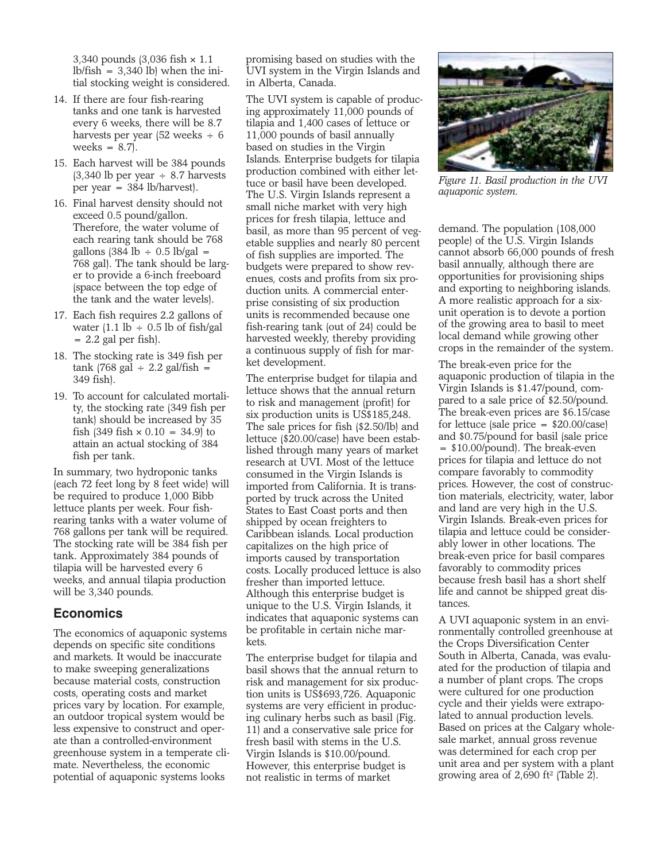3,340 pounds (3,036 fish × 1.1  $lb/fish = 3,340 lb$  when the initial stocking weight is considered.

- 14. If there are four fish-rearing tanks and one tank is harvested every 6 weeks, there will be 8.7 harvests per year (52 weeks ÷ 6 weeks  $= 8.7$ .
- 15. Each harvest will be 384 pounds  $(3,340)$  lb per year  $\div$  8.7 harvests per year = 384 lb/harvest).
- 16. Final harvest density should not exceed 0.5 pound/gallon. Therefore, the water volume of each rearing tank should be 768 gallons  $(384$  lb  $\div$  0.5 lb/gal = 768 gal). The tank should be larger to provide a 6-inch freeboard (space between the top edge of the tank and the water levels).
- 17. Each fish requires 2.2 gallons of water  $(1.1 \text{ lb} \div 0.5 \text{ lb of fish/gal})$  $= 2.2$  gal per fish).
- 18. The stocking rate is 349 fish per tank (768 gal  $\div$  2.2 gal/fish = 349 fish).
- 19. To account for calculated mortality, the stocking rate (349 fish per tank) should be increased by 35 fish  $(349$  fish  $\times 0.10 = 34.9$  to attain an actual stocking of 384 fish per tank.

In summary, two hydroponic tanks (each 72 feet long by 8 feet wide) will be required to produce 1,000 Bibb lettuce plants per week. Four fishrearing tanks with a water volume of 768 gallons per tank will be required. The stocking rate will be 384 fish per tank. Approximately 384 pounds of tilapia will be harvested every 6 weeks, and annual tilapia production will be 3,340 pounds.

## **Economics**

The economics of aquaponic systems depends on specific site conditions and markets. It would be inaccurate to make sweeping generalizations because material costs, construction costs, operating costs and market prices vary by location. For example, an outdoor tropical system would be less expensive to construct and operate than a controlled-environment greenhouse system in a temperate climate. Nevertheless, the economic potential of aquaponic systems looks

promising based on studies with the UVI system in the Virgin Islands and in Alberta, Canada.

The UVI system is capable of producing approximately 11,000 pounds of tilapia and 1,400 cases of lettuce or 11,000 pounds of basil annually based on studies in the Virgin Islands. Enterprise budgets for tilapia production combined with either lettuce or basil have been developed. The U.S. Virgin Islands represent a small niche market with very high prices for fresh tilapia, lettuce and basil, as more than 95 percent of vegetable supplies and nearly 80 percent of fish supplies are imported. The budgets were prepared to show revenues, costs and profits from six production units. A commercial enterprise consisting of six production units is recommended because one fish-rearing tank (out of 24) could be harvested weekly, thereby providing a continuous supply of fish for market development.

The enterprise budget for tilapia and lettuce shows that the annual return to risk and management (profit) for six production units is US\$185,248. The sale prices for fish (\$2.50/lb) and lettuce (\$20.00/case) have been established through many years of market research at UVI. Most of the lettuce consumed in the Virgin Islands is imported from California. It is transported by truck across the United States to East Coast ports and then shipped by ocean freighters to Caribbean islands. Local production capitalizes on the high price of imports caused by transportation costs. Locally produced lettuce is also fresher than imported lettuce. Although this enterprise budget is unique to the U.S. Virgin Islands, it indicates that aquaponic systems can be profitable in certain niche markets.

The enterprise budget for tilapia and basil shows that the annual return to risk and management for six production units is US\$693,726. Aquaponic systems are very efficient in producing culinary herbs such as basil (Fig. 11) and a conservative sale price for fresh basil with stems in the U.S. Virgin Islands is \$10.00/pound. However, this enterprise budget is not realistic in terms of market



*Figure 11. Basil production in the UVI aquaponic system.*

demand. The population (108,000 people) of the U.S. Virgin Islands cannot absorb 66,000 pounds of fresh basil annually, although there are opportunities for provisioning ships and exporting to neighboring islands. A more realistic approach for a sixunit operation is to devote a portion of the growing area to basil to meet local demand while growing other crops in the remainder of the system.

The break-even price for the aquaponic production of tilapia in the Virgin Islands is \$1.47/pound, compared to a sale price of \$2.50/pound. The break-even prices are \$6.15/case for lettuce (sale price = \$20.00/case) and \$0.75/pound for basil (sale price = \$10.00/pound). The break-even prices for tilapia and lettuce do not compare favorably to commodity prices. However, the cost of construction materials, electricity, water, labor and land are very high in the U.S. Virgin Islands. Break-even prices for tilapia and lettuce could be considerably lower in other locations. The break-even price for basil compares favorably to commodity prices because fresh basil has a short shelf life and cannot be shipped great distances.

A UVI aquaponic system in an environmentally controlled greenhouse at the Crops Diversification Center South in Alberta, Canada, was evaluated for the production of tilapia and a number of plant crops. The crops were cultured for one production cycle and their yields were extrapolated to annual production levels. Based on prices at the Calgary wholesale market, annual gross revenue was determined for each crop per unit area and per system with a plant growing area of  $2,690$  ft<sup>2</sup> (Table 2).